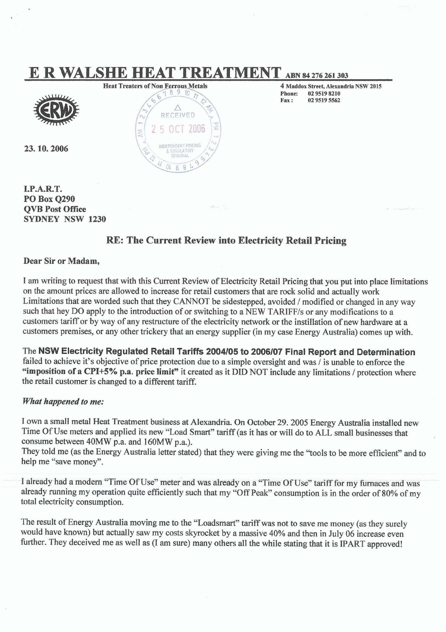# **E R WALSHE HEAT TREATMENT** ABN 84 276 261 303



23, 10, 2006



**4 Maddox Street, Alexandria NSW 2015**<br>**Phone:** 02 9519 8210 **Phone:** 02 9519 8210<br> **Fax:** 02 9519 5562 **Fax: 0295w5562** 

**I.P-ART. PO Box 0290 QVB Post** *Oftlee*  **SYDNEY NSW 1230** 

### **RE: The Current Review into Electricity Retail Pricing**

### **Dear Sir or Madam,**

I am writing to request that with this Current Review of Electricity Retail Pricing that you put into place 'mitations on the amount prices are allowed to increase for retail customers that are rock solid and actually work Limitations that are worded such that they CANNOT be sidestepped, avoided / modified or changed in any way such that hey DO apply to the introduction of or switching to a NEW TARIFF/s or any modifications to a customers tariff or by way of any restructure of the electricity network or the instillation of new hardware at a customers premises, or any other trickery that an energy supplier (in my case Energy Australia) comes up with.

The **NSW Electricity Regulated Retail Tariffs 2004/05 to 2006107 Final Report and Determination**  failed to achieve it's objective of price protection due to a simple oversight and was  $\ell$  is unable to enforce the **"imposition** of a **CPI+S% p.a.** price **limit"** it **created** as it **DID** NOT include any limitations *I* protection where the retail customer is changed to a different tariff.

### *What* **happened to** *me:*

I own a small metal Heat Treatment business at Alexandria On October 29.2005 Energy Australia installed new Time Of Use meters and applied its new "Load Smart" tariff (as it has or will do to ALL small businesses that consume between 40MW p.a. and 160MW p.a.).

They told me (as the Energy Australia letter stated) that they were giving me the "tools to be more efficient" and to help me "save money".

I already had a modern "Time Of Use" meter and was already on a "Time Of Use" tariff for my furnaces and was already running my operation quite efficiently such that my "Off **Peak"** consumption is in the order of 80% of my total electricity consumption.

The result of Energy Australia moving me to the "Loadsmart" tariff was not to save me money (as they surely would have known) but actually saw my costs skyrocket by a massive 40% and then in July 06 increase even I he result of Energy Australia moving me to the "Loadsmart" tariff was not to save me money (as they surely would have known) but actually saw my costs skyrocket by a massive 40% and then in July 06 increase even urther.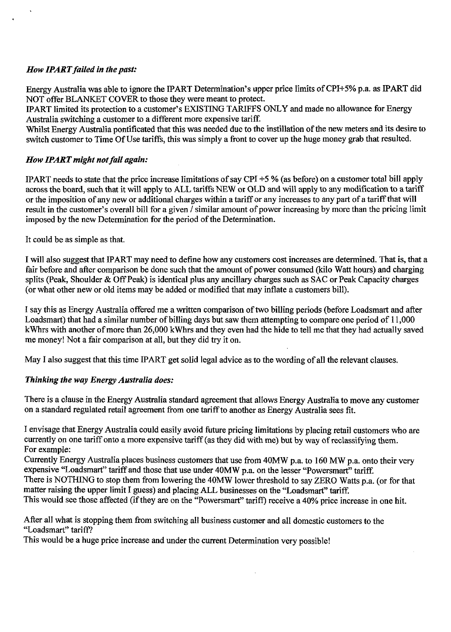### **How IPART failed in the past:**

Energy Australia was able to ignore the IPART Determination's upper price limits of CPI+5% p.a. as PART did NOT offer BLANKET COVER to those they were meant to protect.

PART limited its protection to a customer's EXISTING TARIFFS ONLY and made no allowance for Energy Australia switching a customer to a different more expensive tariff.

Whilst Energy Australia pontificated that this was needed due to the instillation of the new meters and its desire to switch customer to Time Of Use tariffs, this was simply a front to cover up the huge money grab that resulted.

### *How IPART might not fail again:*

IPART needs to state that the price increase limitations of say CPI **+5** % (as before) on a customer total bill apply across the board, such that it will apply to ALL tariffs NEW or OLD and will apply to any modification to a tariff or the imposition of any new or additional charges within a tariff or any increases to any part of a tariff that will result in the customer's overall bill for a given / similar amount of power increasing by more than the pricing limit imposed by the new Determination for the period of the Determination.

It could be as simple as that.

I will also suggest that IPART may need to define how any customers cost increases are determined. That is, that a fair before and after comparison be done such that the amount of power consumed (kilo Watt hours) and charging splits (Peak, Shoulder & Off Peak) is identical plus any ancillary charges such as SAC or Peak Capacity charges (or what other new or old items may be added or modified that may inflate a customers bill).

I say this as Energy Australia offered me a written comparison of two billing periods (before Loadsmart and after Loadsmart) that had a similar number of billing days but saw them attempting to compare one period of 11,000 kWhrs with another of more than 26,000 kWhrs and they even had the hide to tell me that they had actually saved me money! Not a fair comparison at all, but they did try it on.

May I also suggest that this time PART get solid legal advice as to the wording of all the relevant clauses.

### *Thinking the way Energy Australia does:*

There is a clause in the Energy Australia standard agreement that allows Energy Australia to move any customer on a standard regulated retail agreement from one tariff to another as Energy Australia sees fit.

I envisage that Energy Australia could easily avoid future pricing limitations by placing retail customers who are currently on one tariff onto a more expensive tariff (as they did with me) but by way of reclassifying them. For example:

Currently Energy Australia places business customers that use from 40MW p.a. to 160 MW p.a. onto their very expensive "Loadsmart" tariff and those that use under 40MW p.a. on the lesser "Powersmart" tariff.

There is NOTHING to stop them from lowering the 40MW lower threshold to say ZERO Watts p.a. (or for that matter raising the upper limit I guess) and placing ALL businesses on the "Loadsmart" tariff.

This would see those affected (if they are on the "Powersmart" tariff) receive a 40% price increase in one hit.

After all what is stopping them from switching all business customer and all domestic customers to the "Loadsmart" tariff?

This would be a huge price increase and under the current Determination very possible!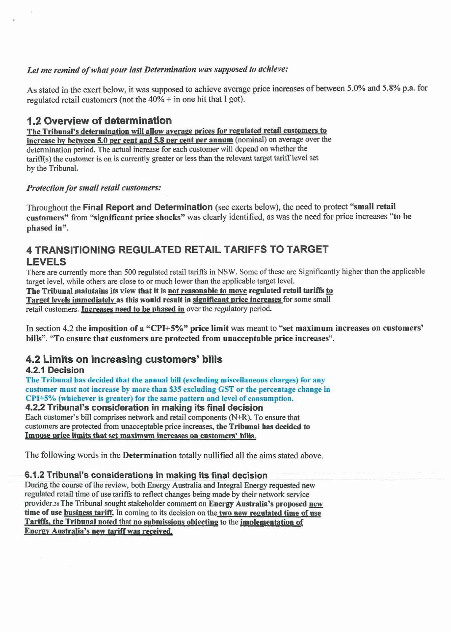### Let me remind of what your last Determination was supposed to achieve:

As stated in the exert below, it was supposed to achieve average price increases of between 5.0% and 5.8% p.a. for regulated retail customers (not the  $40\%$  + in one hit that I got).

**1.2 Overview of determination**  1.2 Overview of determination<br>The Tribunal's determination will allow average prices for regulated retail customers to increase by between 5.0 per cent and 5.8 per cent per annum (nominal) on average over the determination **period** The actual increase for **each customer** will depend on whether the tariff(s) the customer is on is currently greater or less than the relevant target tariff level set by the Tribunal.

### *Protection for small retail customers:*

Throughout the **Final** Report **and Determination** (see exerts below), the need to protect "small retail customers" from "significant price shocks" was clearly identified, as was the need for price increases "to be phased in".

### **4 TRANSlTlONlNG REGULATED RETAIL TARIFFS TO TARGET LEVELS**

There are currently more than 500 regulated retail tariffs in NSW. Some of these are Significantly higher than the applicable tareet level, while others are close to or much lowet than the applicable target level.

The Tribunal maintains its view that it is not reasonable to move regulated retail tariffs to Target levels immediately as this would result in significant price increases for some small retail customers. Increases need to be phased in over the regulatory period.

In section 4.2 the imposition of a **"CPI+S%"** price limit was **meant** to "set maximum increases on customers' bills". 'To ensure that customers are protected from unacceptable price increases".

## **4.2 Limits on increasing customers' bills**

The Tribunal has decided that the annual bill (excluding miscellaneous charges) for any customer must not increase by more than \$35 excluding GST or the percentage change in  $CPI+5%$  (whichever is greater) for the same pattern and level of consumption.

### **4.2.2 Tribunal's consideration in making its final decision**

Each customer's bill comprises network and **mtail** components **(N+R).** To ensure that customem **are** protected **fium** unacceptable price increases, the Tribunal **has deeided to**  Impose price limits that set maximum increases on customers' bills.

The following words in the Determination totally nullified all the aims stated above.

### **6.1.2 Tribunal's considerations in making its final decision**

huingthe course of the review, both Energy Australia and Integral **Energy** requested new regulated retail time of use tariffs to reflect changes being made by their network service provider.36 The Tribunal sought stakeholder comment on Energy Australia's proposed new time of use **business tariff.** In coming to its decision on the two new regulated time of use Tariffs, the Tribunal noted that no submissions objecting to the implementation of **Energy Australia's new tariff was received.**